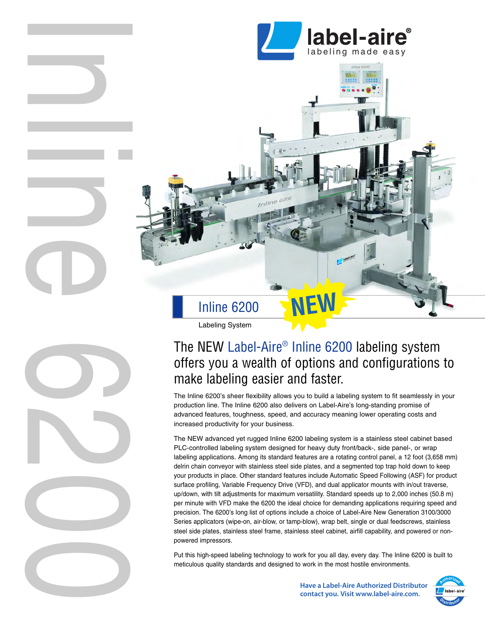

**trine labeling systems™**

s a v e n o w. s a v e l a t e r.

# Inline 6200

Labeling System

I

l

i

n

O

 $\bigcirc$ 

2

 $\bigcirc$ 

 $\bigcirc$ 

n

## The NEW Label-Aire® Inline 6200 labeling system offers you a wealth of options and configurations to make labeling easier and faster.

**NEW**

The Inline 6200's sheer flexibility allows you to build a labeling system to fit seamlessly in your production line. The Inline 6200 also delivers on Label-Aire's long-standing promise of advanced features, toughness, speed, and accuracy meaning lower operating costs and increased productivity for your business.

The NEW advanced yet rugged Inline 6200 labeling system is a stainless steel cabinet based PLC-controlled labeling system designed for heavy duty front/back-, side panel-, or wrap labeling applications. Among its standard features are a rotating control panel, a 12 foot (3,658 mm) delrin chain conveyor with stainless steel side plates, and a segmented top trap hold down to keep your products in place. Other standard features include Automatic Speed Following (ASF) for product surface profiling, Variable Frequency Drive (VFD), and dual applicator mounts with in/out traverse, up/down, with tilt adjustments for maximum versatility. Standard speeds up to 2,000 inches (50.8 m) per minute with VFD make the 6200 the ideal choice for demanding applications requiring speed and precision. The 6200's long list of options include a choice of Label-Aire New Generation 3100/3000 Series applicators (wipe-on, air-blow, or tamp-blow), wrap belt, single or dual feedscrews, stainless steel side plates, stainless steel frame, stainless steel cabinet, airfill capability, and powered or nonpowered impressors.

Put this high-speed labeling technology to work for you all day, every day. The Inline 6200 is built to meticulous quality standards and designed to work in the most hostile environments.

> **Have a Label-Aire Authorized Distributor contact you. Visit www.label-aire.com.**